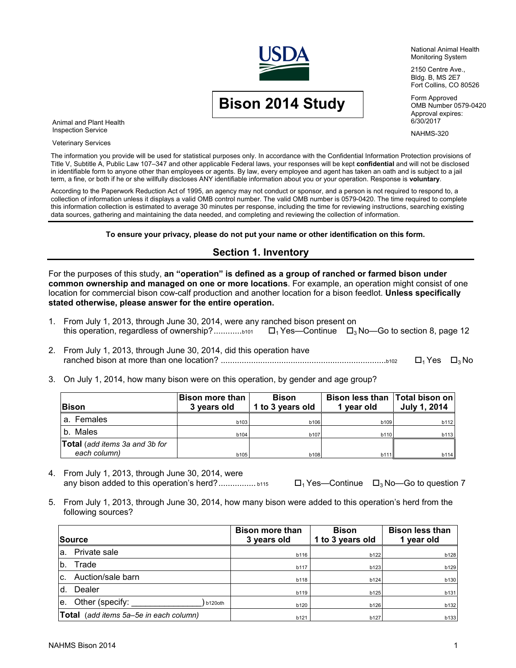

## **Bison 2014 Study**

National Animal Health Monitoring System

2150 Centre Ave. Bldg. B, MS 2E7 Fort Collins, CO 80526

Form Approved OMB Number 0579-0420 Approval expires: 6/30/2017

NAHMS-320

Animal and Plant Health Inspection Service

Veterinary Services

The information you provide will be used for statistical purposes only. In accordance with the Confidential Information Protection provisions of Title V, Subtitle A, Public Law 107–347 and other applicable Federal laws, your responses will be kept **confidential** and will not be disclosed in identifiable form to anyone other than employees or agents. By law, every employee and agent has taken an oath and is subject to a jail term, a fine, or both if he or she willfully discloses ANY identifiable information about you or your operation. Response is **voluntary**.

According to the Paperwork Reduction Act of 1995, an agency may not conduct or sponsor, and a person is not required to respond to, a collection of information unless it displays a valid OMB control number. The valid OMB number is 0579-0420. The time required to complete this information collection is estimated to average 30 minutes per response, including the time for reviewing instructions, searching existing data sources, gathering and maintaining the data needed, and completing and reviewing the collection of information.

**To ensure your privacy, please do not put your name or other identification on this form.** 

#### **Section 1. Inventory**

For the purposes of this study, **an "operation" is defined as a group of ranched or farmed bison under common ownership and managed on one or more locations**. For example, an operation might consist of one location for commercial bison cow-calf production and another location for a bison feedlot. **Unless specifically stated otherwise, please answer for the entire operation.**

- 1. From July 1, 2013, through June 30, 2014, were any ranched bison present on this operation, regardless of ownership? ............ b101 1 Yes—Continue 3 No—Go to section 8, page 12
- 2. From July 1, 2013, through June 30, 2014, did this operation have ranched bison at more than one location? ....................................................................... b102 1 Yes 3 No
- 3. On July 1, 2014, how many bison were on this operation, by gender and age group?

| <b>Bison</b>                                          | <b>Bison more than</b><br>3 years old | <b>Bison</b><br>1 to 3 years old | Bison less than   Total bison on  <br>1 year old | July 1, 2014 |
|-------------------------------------------------------|---------------------------------------|----------------------------------|--------------------------------------------------|--------------|
| a. Females                                            | b103                                  | <b>b106</b>                      | <b>b109</b>                                      | b112         |
| b. Males                                              | b104                                  | b107                             | b110                                             | b113         |
| <b>Total</b> (add items 3a and 3b for<br>each column) | b105                                  | b108                             | b111                                             | b114         |

4. From July 1, 2013, through June 30, 2014, were any bison added to this operation's herd? .................... b115  $\square_1$  Yes—Continue  $\square_3$  No—Go to question 7

5. From July 1, 2013, through June 30, 2014, how many bison were added to this operation's herd from the following sources?

|     | Source                                 | <b>Bison more than</b><br>3 years old | <b>Bison</b><br>1 to 3 years old | <b>Bison less than</b><br>1 year old |  |
|-----|----------------------------------------|---------------------------------------|----------------------------------|--------------------------------------|--|
| la. | Private sale                           | b116                                  | <b>b122</b>                      | <b>b128</b>                          |  |
| lb. | Trade                                  | b117                                  | b123                             | <b>b129</b>                          |  |
| C.  | Auction/sale barn                      | b118                                  | b124                             | <b>b130</b>                          |  |
| ld. | Dealer                                 | b119                                  | b125                             | b131                                 |  |
| e.  | Other (specify:<br>b120oth             | <b>b120</b>                           | <b>b126</b>                      | b132                                 |  |
|     | Total (add items 5a-5e in each column) | b121                                  | <b>b127</b>                      | <b>b133</b>                          |  |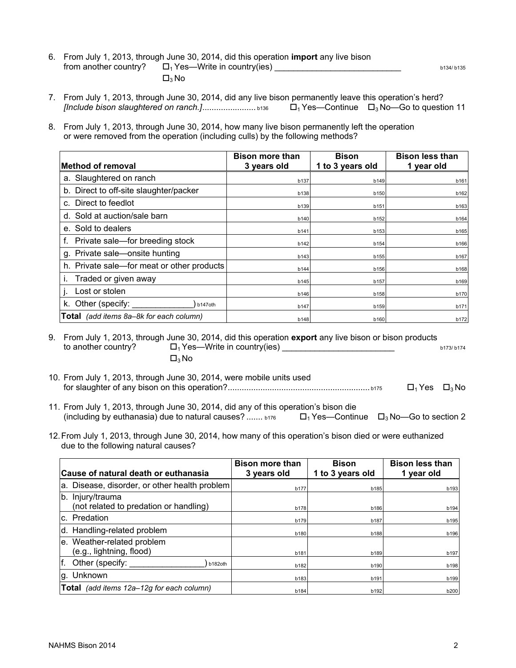- 6. From July 1, 2013, through June 30, 2014, did this operation **import** any live bison from another country? 1 Yes—Write in country(ies) \_\_\_\_\_\_\_\_\_\_\_\_\_\_\_\_\_\_\_\_\_\_\_\_\_\_\_ b134/ b135  $\Box$ 3 No
- 7. From July 1, 2013, through June 30, 2014, did any live bison permanently leave this operation's herd? *[Include bison slaughtered on ranch.]* .............................. b136 **1**  $\Box$ <sub>1</sub> Yes—Continue  $\Box$ <sub>3</sub> No—Go to question 11
- 8. From July 1, 2013, through June 30, 2014, how many live bison permanently left the operation or were removed from the operation (including culls) by the following methods?

|                                            | <b>Bison more than</b> | <b>Bison</b>     | <b>Bison less than</b> |
|--------------------------------------------|------------------------|------------------|------------------------|
| Method of removal                          | 3 years old            | 1 to 3 years old | 1 year old             |
| a. Slaughtered on ranch                    | <b>b137</b>            | b149             | b161                   |
| b. Direct to off-site slaughter/packer     | <b>b138</b>            | b150             | b162                   |
| c. Direct to feedlot                       | b139                   | b151             | b163                   |
| d. Sold at auction/sale barn               | b140                   | b152             | b164                   |
| e. Sold to dealers                         | b141                   | b153             | b165                   |
| f. Private sale—for breeding stock         | b142                   | b154             | <b>b166</b>            |
| g. Private sale-onsite hunting             | b143                   | b155             | b167                   |
| h. Private sale-for meat or other products | b144                   | <b>b156</b>      | b168                   |
| Traded or given away<br>Τ.                 | b145                   | b157             | <b>b169</b>            |
| Lost or stolen                             | <b>b146</b>            | <b>b158</b>      | <b>b170</b>            |
| k. Other (specify:<br>b147oth              | b147                   | <b>b159</b>      | b171                   |
| Total (add items 8a-8k for each column)    | <b>b148</b>            | <b>b160</b>      | b172                   |

9. From July 1, 2013, through June 30, 2014, did this operation **export** any live bison or bison products to another country?  $\Box_1$  Yes—Write in country(ies) \_\_\_\_\_\_\_\_\_\_\_\_\_\_\_\_\_\_\_\_\_\_\_\_\_\_\_\_  $\square$ 3 No

- 10. From July 1, 2013, through June 30, 2014, were mobile units used for slaughter of any bison on this operation? ............................................................. b175 1 Yes 3 No
- 11. From July 1, 2013, through June 30, 2014, did any of this operation's bison die (including by euthanasia) due to natural causes? .......  $b176$   $\Box_1$  Yes—Continue  $\Box_3$  No—Go to section 2
- 12. From July 1, 2013, through June 30, 2014, how many of this operation's bison died or were euthanized due to the following natural causes?

| <b>Cause of natural death or euthanasia</b>                | <b>Bison more than</b><br>3 years old | <b>Bison</b><br>1 to 3 years old | <b>Bison less than</b><br>1 year old |
|------------------------------------------------------------|---------------------------------------|----------------------------------|--------------------------------------|
| a. Disease, disorder, or other health problem              | <b>b177</b>                           | b185                             | b193                                 |
| b. Injury/trauma<br>(not related to predation or handling) | <b>b178</b>                           | <b>b186</b>                      | b194                                 |
| lc. Predation                                              | b179                                  | b187                             | b195                                 |
| d. Handling-related problem                                | <b>b180</b>                           | <b>b188</b>                      | <b>b196</b>                          |
| e. Weather-related problem<br>(e.g., lightning, flood)     | b181                                  | b189                             | b197                                 |
| f.<br>Other (specify:<br>b182oth                           | b182                                  | b190                             | b198                                 |
| Unknown<br>g.                                              | <b>b183</b>                           | b191                             | b199                                 |
| <b>Total</b> (add items 12a–12g for each column)           | b184                                  | b192                             | <b>b200</b>                          |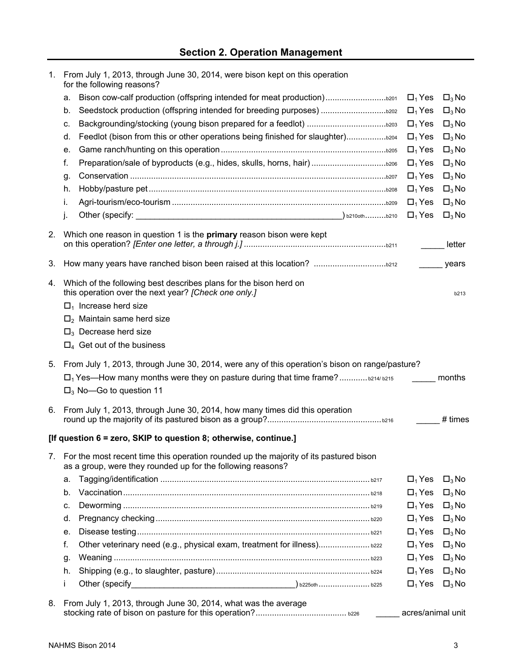| 1. |    | From July 1, 2013, through June 30, 2014, were bison kept on this operation<br>for the following reasons?                                               |                   |                |
|----|----|---------------------------------------------------------------------------------------------------------------------------------------------------------|-------------------|----------------|
|    | а. | Bison cow-calf production (offspring intended for meat production)                                                                                      | $\Box_1$ Yes      | $\square_3$ No |
|    | b. | Seedstock production (offspring intended for breeding purposes) 202                                                                                     | $\Box_1$ Yes      | $\square_3$ No |
|    | c. |                                                                                                                                                         | $\Box_1$ Yes      | $\square_3$ No |
|    | d. |                                                                                                                                                         | $\Box_1$ Yes      | $\square_3$ No |
|    | е. |                                                                                                                                                         | $\Box_1$ Yes      | $\square_3$ No |
|    | f. | Preparation/sale of byproducts (e.g., hides, skulls, horns, hair)  b206                                                                                 | $\Box_1$ Yes      | $\square_3$ No |
|    | g. |                                                                                                                                                         | $\Box_1$ Yes      | $\square_3$ No |
|    | h. |                                                                                                                                                         | $\Box_1$ Yes      | $\square_3$ No |
|    | i. |                                                                                                                                                         | $\Box_1$ Yes      | $\square_3$ No |
|    | j. |                                                                                                                                                         | $\Box_1$ Yes      | $\square_3$ No |
| 2. |    | Which one reason in question 1 is the <b>primary</b> reason bison were kept                                                                             |                   | letter         |
|    |    |                                                                                                                                                         |                   |                |
| 3. |    |                                                                                                                                                         |                   | years          |
| 4. |    | Which of the following best describes plans for the bison herd on<br>this operation over the next year? [Check one only.]                               |                   | b213           |
|    |    | $\Box_1$ Increase herd size                                                                                                                             |                   |                |
|    |    | $\Box_2$ Maintain same herd size                                                                                                                        |                   |                |
|    |    | $\square$ <sub>3</sub> Decrease herd size                                                                                                               |                   |                |
|    |    | $\Box_4$ Get out of the business                                                                                                                        |                   |                |
|    |    |                                                                                                                                                         |                   |                |
| 5. |    | From July 1, 2013, through June 30, 2014, were any of this operation's bison on range/pasture?                                                          |                   |                |
|    |    | $\Box_1$ Yes—How many months were they on pasture during that time frame? b214/ b215                                                                    | months            |                |
|    |    | $\Box$ <sub>3</sub> No-Go to question 11                                                                                                                |                   |                |
| 6. |    | From July 1, 2013, through June 30, 2014, how many times did this operation                                                                             |                   | # times        |
|    |    | [If question 6 = zero, SKIP to question 8; otherwise, continue.]                                                                                        |                   |                |
|    |    | 7. For the most recent time this operation rounded up the majority of its pastured bison<br>as a group, were they rounded up for the following reasons? |                   |                |
|    | a. |                                                                                                                                                         | $\Box_1$ Yes      | $\square_3$ No |
|    | b. |                                                                                                                                                         | $\Box_1$ Yes      | $\square_3$ No |
|    | c. |                                                                                                                                                         | $\Box_1$ Yes      | $\square_3$ No |
|    | d. |                                                                                                                                                         | $\Box_1$ Yes      | $\square_3$ No |
|    | е. |                                                                                                                                                         | $\Box_1$ Yes      | $\square_3$ No |
|    | f. | Other veterinary need (e.g., physical exam, treatment for illness) b222                                                                                 | $\Box_1$ Yes      | $\square_3$ No |
|    | g. |                                                                                                                                                         | $\Box_1$ Yes      | $\square_3$ No |
|    | h. |                                                                                                                                                         | $\Box_1$ Yes      | $\square_3$ No |
|    | Ť  | Other (specify                                                                                                                                          | $\Box_1$ Yes      | $\square_3$ No |
| 8. |    | From July 1, 2013, through June 30, 2014, what was the average                                                                                          |                   |                |
|    |    |                                                                                                                                                         | acres/animal unit |                |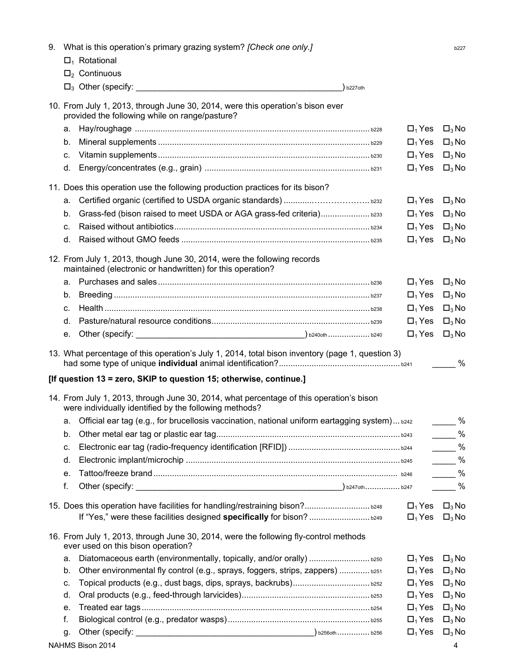| 9. |    | What is this operation's primary grazing system? [Check one only.]                                                                                |         |              | b227           |
|----|----|---------------------------------------------------------------------------------------------------------------------------------------------------|---------|--------------|----------------|
|    |    | $\Box_1$ Rotational                                                                                                                               |         |              |                |
|    |    | $\Box_2$ Continuous                                                                                                                               |         |              |                |
|    |    |                                                                                                                                                   | b227oth |              |                |
|    |    | 10. From July 1, 2013, through June 30, 2014, were this operation's bison ever<br>provided the following while on range/pasture?                  |         |              |                |
|    |    |                                                                                                                                                   |         | $\Box_1$ Yes | $\square_3$ No |
|    | b. |                                                                                                                                                   |         | $\Box_1$ Yes | $\square_3$ No |
|    | C. |                                                                                                                                                   |         | $\Box_1$ Yes | $\square_3$ No |
|    | d. |                                                                                                                                                   |         | $\Box_1$ Yes | $\square_3$ No |
|    |    | 11. Does this operation use the following production practices for its bison?                                                                     |         |              |                |
|    | а. |                                                                                                                                                   |         | $\Box_1$ Yes | $\square_3$ No |
|    | b. | Grass-fed (bison raised to meet USDA or AGA grass-fed criteria) b233                                                                              |         | $\Box_1$ Yes | $\square_3$ No |
|    | c. |                                                                                                                                                   |         | $\Box_1$ Yes | $\square_3$ No |
|    | d. |                                                                                                                                                   |         | $\Box_1$ Yes | $\square_3$ No |
|    |    | 12. From July 1, 2013, though June 30, 2014, were the following records                                                                           |         |              |                |
|    |    | maintained (electronic or handwritten) for this operation?                                                                                        |         |              |                |
|    |    |                                                                                                                                                   |         | $\Box_1$ Yes | $\square_3$ No |
|    | b. |                                                                                                                                                   |         | $\Box_1$ Yes | $\square_3$ No |
|    | C. |                                                                                                                                                   |         | $\Box_1$ Yes | $\square_3$ No |
|    | d. |                                                                                                                                                   |         | $\Box_1$ Yes | $\square_3$ No |
|    | е. |                                                                                                                                                   |         | $\Box_1$ Yes | $\square_3$ No |
|    |    | 13. What percentage of this operation's July 1, 2014, total bison inventory (page 1, question 3)                                                  |         |              | $\%$           |
|    |    | [If question 13 = zero, SKIP to question 15; otherwise, continue.]                                                                                |         |              |                |
|    |    | 14. From July 1, 2013, through June 30, 2014, what percentage of this operation's bison<br>were individually identified by the following methods? |         |              |                |
|    |    | a. Official ear tag (e.g., for brucellosis vaccination, national uniform eartagging system) b242                                                  |         |              | $-$ %          |
|    | b. |                                                                                                                                                   |         |              | $\frac{9}{6}$  |
|    | c. |                                                                                                                                                   |         |              | $\sim$ %       |
|    | d. |                                                                                                                                                   |         |              | $\frac{9}{6}$  |
|    | e. |                                                                                                                                                   |         |              | $\frac{9}{6}$  |
|    | f. |                                                                                                                                                   |         |              | $\%$           |
|    |    | 15. Does this operation have facilities for handling/restraining bison? b248                                                                      |         | $\Box_1$ Yes | $\square_3$ No |
|    |    | If "Yes," were these facilities designed specifically for bison? b249                                                                             |         | $\Box_1$ Yes | $\square_3$ No |
|    |    | 16. From July 1, 2013, through June 30, 2014, were the following fly-control methods<br>ever used on this bison operation?                        |         |              |                |
|    | a. | Diatomaceous earth (environmentally, topically, and/or orally)  b250                                                                              |         | $\Box_1$ Yes | $\square_3$ No |
|    | b. | Other environmental fly control (e.g., sprays, foggers, strips, zappers)  b251                                                                    |         | $\Box_1$ Yes | $\square_3$ No |
|    | c. |                                                                                                                                                   |         | $\Box_1$ Yes | $\square_3$ No |
|    | d. |                                                                                                                                                   |         | $\Box_1$ Yes | $\square_3$ No |
|    | е. |                                                                                                                                                   |         | $\Box_1$ Yes | $\square_3$ No |
|    | f. |                                                                                                                                                   |         | $\Box_1$ Yes | $\square_3$ No |
|    | g. | Other (specify:                                                                                                                                   |         | $\Box_1$ Yes | $\square_3$ No |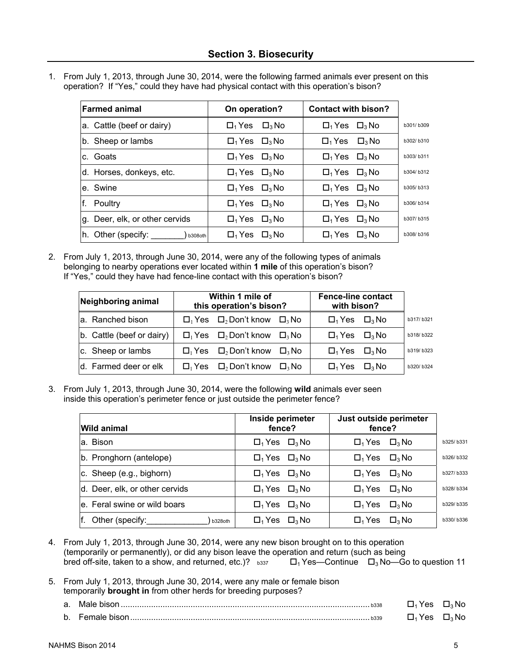1. From July 1, 2013, through June 30, 2014, were the following farmed animals ever present on this operation? If "Yes," could they have had physical contact with this operation's bison?

| lFarmed animal                             | On operation?                             | <b>Contact with bison?</b>     |           |
|--------------------------------------------|-------------------------------------------|--------------------------------|-----------|
| a. Cattle (beef or dairy)                  | $\Box_1$ Yes $\Box_3$ No                  | $\Box_1$ Yes $\Box_3$ No       | b301/b309 |
| b. Sheep or lambs                          | $\Box_1$ Yes $\Box_3$ No                  | $\Box_1$ Yes<br>$\square$ 3 No | b302/b310 |
| c. Goats                                   | $\Box_1$ Yes $\Box_3$ No                  | $\Box_1$ Yes $\Box_3$ No       | b303/b311 |
| d. Horses, donkeys, etc.                   | $\Box_1$ Yes $\Box_3$ No                  | $\Box_1$ Yes $\Box_3$ No       | b304/b312 |
| e. Swine                                   | $\Box_1$ Yes $\Box_3$ No                  | $\Box_1$ Yes $\Box_3$ No       | b305/b313 |
| f. Poultry                                 | $\Box_1$ Yes $\Box_3$ No                  | $\Box_1$ Yes $\Box_3$ No       | b306/b314 |
| g. Deer, elk, or other cervids             | $\Box_1$ Yes $\Box_3$ No                  | $\Box_1$ Yes $\Box_3$ No       | b307/b315 |
| h. Other (specify: ____<br>$\big)$ b308oth | $\Box_1$ Yes<br>$\square$ <sub>3</sub> No | $\Box_1$ Yes<br>$\square_3$ No | b308/b316 |

2. From July 1, 2013, through June 30, 2014, were any of the following types of animals belonging to nearby operations ever located within **1 mile** of this operation's bison? If "Yes," could they have had fence-line contact with this operation's bison?

| Neighboring animal        | Within 1 mile of<br>this operation's bison?                   | <b>Fence-line contact</b><br>with bison? |           |
|---------------------------|---------------------------------------------------------------|------------------------------------------|-----------|
| a. Ranched bison          | $\Box_1$ Yes $\Box_2$ Don't know<br>$\square$ <sub>3</sub> No | $\Box_1$ Yes $\Box_3$ No                 | b317/b321 |
| b. Cattle (beef or dairy) | $\Box_1$ Yes $\Box_2$ Don't know<br>$\square$ <sub>3</sub> No | $\Box_1$ Yes $\Box_3$ No                 | b318/b322 |
| c. Sheep or lambs         | $\Box_1$ Yes $\Box_2$ Don't know $\Box_3$ No                  | $\Box_1$ Yes $\Box_3$ No                 | b319/b323 |
| d. Farmed deer or elk     | $\Box_1$ Yes $\Box_2$ Don't know<br>$\square$ <sub>3</sub> No | $\Box_1$ Yes $\Box_3$ No                 | b320/b324 |

3. From July 1, 2013, through June 30, 2014, were the following **wild** animals ever seen inside this operation's perimeter fence or just outside the perimeter fence?

| Wild animal                      | Inside perimeter<br>fence?     | Just outside perimeter<br>fence? |           |
|----------------------------------|--------------------------------|----------------------------------|-----------|
| la. Bison                        | $\Box_1$ Yes $\Box_3$ No       | $\Box_1$ Yes $\Box_3$ No         | b325/b331 |
| b. Pronghorn (antelope)          | $\Box_1$ Yes $\Box_3$ No       | $\Box_1$ Yes $\Box_3$ No         | b326/b332 |
| c. Sheep (e.g., bighorn)         | $\Box_1$ Yes $\Box_3$ No       | $\Box_1$ Yes $\Box_3$ No         | b327/b333 |
| d. Deer, elk, or other cervids   | $\Box_1$ Yes $\Box_3$ No       | $\Box_1$ Yes $\Box_3$ No         | b328/b334 |
| le. Feral swine or wild boars    | $\Box_1$ Yes $\Box_3$ No       | $\Box_1$ Yes<br>$\square_3$ No   | b329/b335 |
| $ f.$ Other (specify:<br>b328oth | $\Box_1$ Yes<br>$\square_3$ No | $\square_3$ No<br>$\Box_1$ Yes   | b330/b336 |

- 4. From July 1, 2013, through June 30, 2014, were any new bison brought on to this operation (temporarily or permanently), or did any bison leave the operation and return (such as being<br>bred off-site, taken to a show, and returned, etc.)?  $_{b337}$   $\Box_1$  Yes—Continue  $\Box_3$  No—Go to question 11 bred off-site, taken to a show, and returned, etc.)?  $_{b337}$
- 5. From July 1, 2013, through June 30, 2014, were any male or female bison temporarily **brought in** from other herds for breeding purposes?

|                      | ⊟ <sub>1</sub> Yes | Π <sub>≏</sub> N∩. |
|----------------------|--------------------|--------------------|
| .     Female bison . | $\Box_1$ Yes       |                    |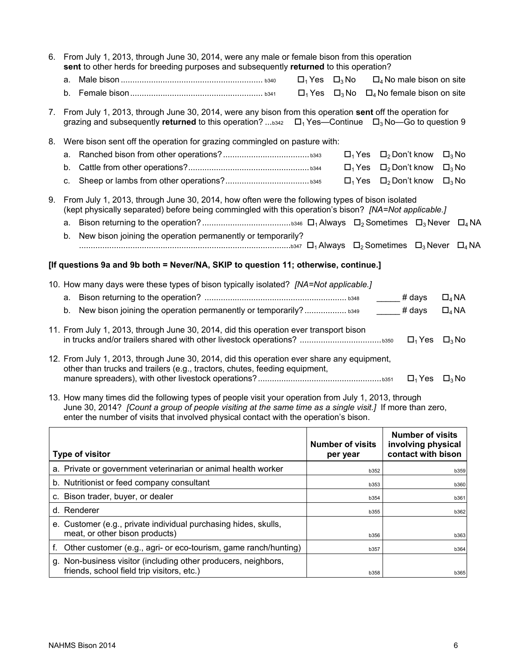| 6. | From July 1, 2013, through June 30, 2014, were any male or female bison from this operation<br>sent to other herds for breeding purposes and subsequently returned to this operation? |                                                                                                                                                                                                                            |  |                                |              |  |                                                           |                           |
|----|---------------------------------------------------------------------------------------------------------------------------------------------------------------------------------------|----------------------------------------------------------------------------------------------------------------------------------------------------------------------------------------------------------------------------|--|--------------------------------|--------------|--|-----------------------------------------------------------|---------------------------|
|    |                                                                                                                                                                                       |                                                                                                                                                                                                                            |  | $\square_1$ Yes $\square_3$ No |              |  | $\Box_4$ No male bison on site                            |                           |
|    |                                                                                                                                                                                       |                                                                                                                                                                                                                            |  |                                |              |  | $\Box_1$ Yes $\Box_3$ No $\Box_4$ No female bison on site |                           |
|    |                                                                                                                                                                                       | 7. From July 1, 2013, through June 30, 2014, were any bison from this operation sent off the operation for<br>grazing and subsequently returned to this operation? b342 $\Box_1$ Yes—Continue $\Box_3$ No—Go to question 9 |  |                                |              |  |                                                           |                           |
| 8. |                                                                                                                                                                                       | Were bison sent off the operation for grazing commingled on pasture with:                                                                                                                                                  |  |                                |              |  |                                                           |                           |
|    |                                                                                                                                                                                       |                                                                                                                                                                                                                            |  |                                |              |  | $\Box_1$ Yes $\Box_2$ Don't know                          | $\square_3$ No            |
|    |                                                                                                                                                                                       |                                                                                                                                                                                                                            |  |                                | $\Box_1$ Yes |  | $\Box_2$ Don't know                                       | $\square_3$ No            |
|    | C.                                                                                                                                                                                    |                                                                                                                                                                                                                            |  |                                |              |  | $\Box_1$ Yes $\Box_2$ Don't know                          | $\square_3$ No            |
|    |                                                                                                                                                                                       | 9. From July 1, 2013, through June 30, 2014, how often were the following types of bison isolated<br>(kept physically separated) before being commingled with this operation's bison? [NA=Not applicable.]                 |  |                                |              |  |                                                           |                           |
|    |                                                                                                                                                                                       |                                                                                                                                                                                                                            |  |                                |              |  |                                                           |                           |
|    | b.                                                                                                                                                                                    | New bison joining the operation permanently or temporarily?                                                                                                                                                                |  |                                |              |  |                                                           |                           |
|    |                                                                                                                                                                                       | [If questions 9a and 9b both = Never/NA, SKIP to question 11; otherwise, continue.]                                                                                                                                        |  |                                |              |  |                                                           |                           |
|    |                                                                                                                                                                                       | 10. How many days were these types of bison typically isolated? [NA=Not applicable.]                                                                                                                                       |  |                                |              |  |                                                           |                           |
|    |                                                                                                                                                                                       |                                                                                                                                                                                                                            |  |                                |              |  | $\frac{4}{1}$ days                                        | $\square$ <sub>4</sub> NA |
|    |                                                                                                                                                                                       | b. New bison joining the operation permanently or temporarily? b349 ______ # days                                                                                                                                          |  |                                |              |  |                                                           | $\square$ <sub>4</sub> NA |
|    |                                                                                                                                                                                       | 11. From July 1, 2013, through June 30, 2014, did this operation ever transport bison                                                                                                                                      |  |                                |              |  | $\Box_1$ Yes $\Box_3$ No                                  |                           |
|    |                                                                                                                                                                                       | 12. From July 1, 2013, through June 30, 2014, did this operation ever share any equipment,<br>other than trucks and trailers (e.g., tractors, chutes, feeding equipment,                                                   |  |                                |              |  | $\Box_1$ Yes $\Box_3$ No                                  |                           |
|    |                                                                                                                                                                                       | 13. How many times did the following types of people visit your operation from July 1, 2013, through<br>June 30, 2014? [Count a group of people visiting at the same time as a single visit.] If more than zero,           |  |                                |              |  |                                                           |                           |

|  |  |  |  | enter the number of visits that involved physical contact with the operation's bison. |  |
|--|--|--|--|---------------------------------------------------------------------------------------|--|

| <b>Type of visitor</b>                                                                                       | <b>Number of visits</b><br>per year | <b>Number of visits</b><br>involving physical<br>contact with bison |
|--------------------------------------------------------------------------------------------------------------|-------------------------------------|---------------------------------------------------------------------|
| a. Private or government veterinarian or animal health worker                                                | b352                                | b359                                                                |
| b. Nutritionist or feed company consultant                                                                   | b353                                | <b>b360</b>                                                         |
| c. Bison trader, buyer, or dealer                                                                            | b354                                | b361                                                                |
| d. Renderer                                                                                                  | b355                                | b362                                                                |
| e. Customer (e.g., private individual purchasing hides, skulls,<br>meat, or other bison products)            | <b>b356</b>                         | <b>b363</b>                                                         |
| Other customer (e.g., agri- or eco-tourism, game ranch/hunting)                                              | b357                                | b364                                                                |
| g. Non-business visitor (including other producers, neighbors,<br>friends, school field trip visitors, etc.) | <b>b358</b>                         | <b>b365</b>                                                         |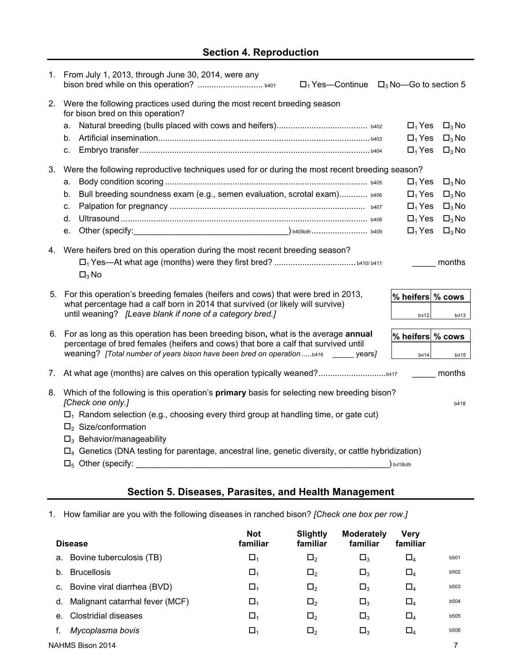### **Section 4. Reproduction**

|    | 1. From July 1, 2013, through June 30, 2014, were any<br>bison bred while on this operation?  b401<br>$\Box_1$ Yes—Continue $\Box_3$ No—Go to section 5                    |                  |                |
|----|----------------------------------------------------------------------------------------------------------------------------------------------------------------------------|------------------|----------------|
|    | 2. Were the following practices used during the most recent breeding season<br>for bison bred on this operation?                                                           |                  |                |
|    | a.                                                                                                                                                                         | $\Box_1$ Yes     | $\square_3$ No |
|    | b.                                                                                                                                                                         | $\Box_1$ Yes     | $\square_3$ No |
|    | c.                                                                                                                                                                         | $\Box_1$ Yes     | $\square_3$ No |
| 3. | Were the following reproductive techniques used for or during the most recent breeding season?                                                                             |                  |                |
|    | a.                                                                                                                                                                         | $\Box_1$ Yes     | $\square_3$ No |
|    | Bull breeding soundness exam (e.g., semen evaluation, scrotal exam) b406<br>b.                                                                                             | $\Box_1$ Yes     | $\square_3$ No |
|    | c.                                                                                                                                                                         | $\Box_1$ Yes     | $\square_3$ No |
|    | d.                                                                                                                                                                         | $\Box_1$ Yes     | $\square_3$ No |
|    | e.                                                                                                                                                                         | $\Box_1$ Yes     | $\square_3$ No |
|    | 4. Were heifers bred on this operation during the most recent breeding season?<br>$\square_3$ No                                                                           |                  | ______ months  |
|    | 5. For this operation's breeding females (heifers and cows) that were bred in 2013,                                                                                        | % heifers % cows |                |
|    | what percentage had a calf born in 2014 that survived (or likely will survive)<br>until weaning? [Leave blank if none of a category bred.]                                 |                  |                |
|    |                                                                                                                                                                            | b412             | b413           |
|    | 6. For as long as this operation has been breeding bison, what is the average annual                                                                                       | % heifers % cows |                |
|    | percentage of bred females (heifers and cows) that bore a calf that survived until<br>weaning? [Total number of years bison have been bred on operation b416 ______ years] | b414             | b415           |
|    |                                                                                                                                                                            |                  |                |
|    |                                                                                                                                                                            | months           |                |
| 8. | Which of the following is this operation's primary basis for selecting new breeding bison?<br>[Check one only.]                                                            |                  | b418           |
|    | $\Box$ <sub>1</sub> Random selection (e.g., choosing every third group at handling time, or gate cut)                                                                      |                  |                |
|    | $\Box_2$ Size/conformation                                                                                                                                                 |                  |                |
|    | $\square$ <sub>3</sub> Behavior/manageability                                                                                                                              |                  |                |
|    | $\Box_4$ Genetics (DNA testing for parentage, ancestral line, genetic diversity, or cattle hybridization)                                                                  |                  |                |
|    | $\Box_5$ Other (specify: $\Box$ )                                                                                                                                          | b418oth          |                |

### **Section 5. Diseases, Parasites, and Health Management**

1. How familiar are you with the following diseases in ranched bison? *[Check one box per row.]*

| <b>Disease</b> |                                 | <b>Not</b><br>familiar | Slightly<br>familiar | <b>Moderately</b><br>familiar | <b>Verv</b><br>familiar |             |
|----------------|---------------------------------|------------------------|----------------------|-------------------------------|-------------------------|-------------|
|                | a. Bovine tuberculosis (TB)     | $\Box_1$               | $\square_2$          | $\square_3$                   | $\square_4$             | b501        |
| b.             | <b>Brucellosis</b>              | $\Box_1$               | $\square_2$          | $\square_3$                   | $\square_4$             | b502        |
| C.             | Bovine viral diarrhea (BVD)     | $\Box_1$               | $\square_2$          | $\square_3$                   | $\square_4$             | b503        |
| d.             | Malignant catarrhal fever (MCF) | $\square_1$            | $\square_2$          | $\square_3$                   | $\square_4$             | b504        |
| $e_{\cdot}$    | Clostridial diseases            | $\Box_1$               | $\square_2$          | $\square_3$                   | $\square_4$             | b505        |
|                | Mycoplasma bovis                | $\Box_1$               | $\square$            | $\square_3$                   | $\square_4$             | <b>b506</b> |
|                | NAHMS Bison 2014                |                        |                      |                               |                         |             |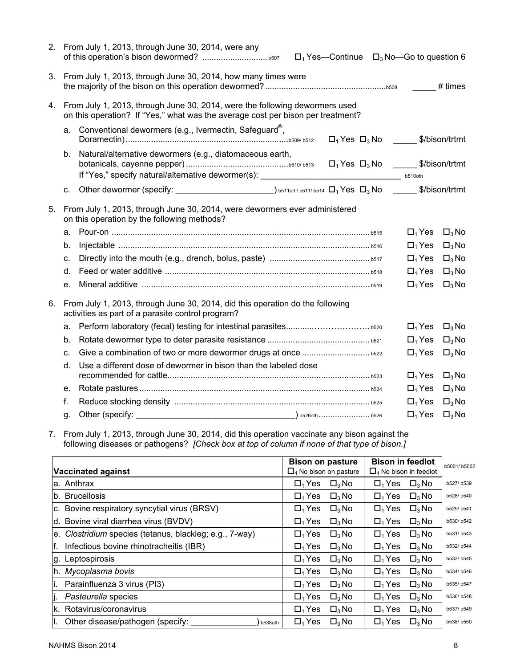|                                                                                                                                                                      |                                                                  | 2. From July 1, 2013, through June 30, 2014, were any<br>$\Box_1$ Yes—Continue $\Box_3$ No—Go to question 6                        |              |                |  |
|----------------------------------------------------------------------------------------------------------------------------------------------------------------------|------------------------------------------------------------------|------------------------------------------------------------------------------------------------------------------------------------|--------------|----------------|--|
|                                                                                                                                                                      | 3. From July 1, 2013, through June 30, 2014, how many times were |                                                                                                                                    |              |                |  |
| From July 1, 2013, through June 30, 2014, were the following dewormers used<br>4.<br>on this operation? If "Yes," what was the average cost per bison per treatment? |                                                                  |                                                                                                                                    |              |                |  |
|                                                                                                                                                                      | a.                                                               | Conventional dewormers (e.g., Ivermectin, Safeguard®,<br>$\square_1$ Yes $\square_3$ No $\hspace{1cm}$ \$/bison/trtmt              |              |                |  |
|                                                                                                                                                                      | b.                                                               | Natural/alternative dewormers (e.g., diatomaceous earth,<br>$\Box_1$ Yes $\Box_3$ No _________ \$/bison/trtmt                      |              |                |  |
|                                                                                                                                                                      | c.                                                               |                                                                                                                                    |              |                |  |
| 5.                                                                                                                                                                   |                                                                  | From July 1, 2013, through June 30, 2014, were dewormers ever administered<br>on this operation by the following methods?          |              |                |  |
|                                                                                                                                                                      | a.                                                               |                                                                                                                                    | $\Box_1$ Yes | $\square_3$ No |  |
|                                                                                                                                                                      | b.                                                               |                                                                                                                                    | $\Box_1$ Yes | $\square_3$ No |  |
|                                                                                                                                                                      | c.                                                               |                                                                                                                                    | $\Box_1$ Yes | $\square_3$ No |  |
|                                                                                                                                                                      | d.                                                               |                                                                                                                                    | $\Box_1$ Yes | $\square_3$ No |  |
|                                                                                                                                                                      | e.                                                               |                                                                                                                                    | $\Box_1$ Yes | $\square_3$ No |  |
| 6.                                                                                                                                                                   |                                                                  | From July 1, 2013, through June 30, 2014, did this operation do the following<br>activities as part of a parasite control program? |              |                |  |
|                                                                                                                                                                      | a.                                                               |                                                                                                                                    | $\Box_1$ Yes | $\square_3$ No |  |
|                                                                                                                                                                      | b.                                                               |                                                                                                                                    | $\Box_1$ Yes | $\square_3$ No |  |
|                                                                                                                                                                      | c.                                                               |                                                                                                                                    | $\Box_1$ Yes | $\square_3$ No |  |
|                                                                                                                                                                      | d.                                                               | Use a different dose of dewormer in bison than the labeled dose                                                                    | $\Box_1$ Yes | $\square_3$ No |  |
|                                                                                                                                                                      | е.                                                               |                                                                                                                                    | $\Box_1$ Yes | $\square_3$ No |  |
|                                                                                                                                                                      | f.                                                               |                                                                                                                                    | $\Box_1$ Yes | $\square_3$ No |  |
|                                                                                                                                                                      | g.                                                               |                                                                                                                                    | $\Box_1$ Yes | $\square_3$ No |  |

7. From July 1, 2013, through June 30, 2014, did this operation vaccinate any bison against the following diseases or pathogens? *[Check box at top of column if none of that type of bison.]*

|                                                         | <b>Bison on pasture</b>                 | <b>Bison in feedlot</b>        | b5001/b5002 |
|---------------------------------------------------------|-----------------------------------------|--------------------------------|-------------|
| <b>Vaccinated against</b>                               | $\Box$ <sub>4</sub> No bison on pasture | $\Box_4$ No bison in feedlot   |             |
| a. Anthrax                                              | $\square_3$ No<br>$\Box_1$ Yes          | $\square_3$ No<br>$\Box_1$ Yes | b527/ b539  |
| <b>Brucellosis</b>                                      | $\Box_1$ Yes                            | $\Box_1$ Yes                   | b528/b540   |
| b.                                                      | $\square_3$ No                          | $\square_3$ No                 |             |
| Bovine respiratory syncytial virus (BRSV)               | $\Box_1$ Yes                            | $\Box_1$ Yes                   | b529/ b541  |
| C.                                                      | $\square_3$ No                          | $\square_3$ No                 |             |
| Bovine viral diarrhea virus (BVDV)                      | $\Box_1$ Yes                            | $\square_3$ No                 | b530/b542   |
| d.                                                      | $\square_3$ No                          | $\Box_1$ Yes                   |             |
| e. Clostridium species (tetanus, blackleg; e.g., 7-way) | $\Box_1$ Yes<br>$\square_3$ No          | $\Box_1$ Yes<br>$\square_3$ No | b531/b543   |
| f.                                                      | $\Box_1$ Yes                            | $\Box_1$ Yes                   | b532/b544   |
| Infectious bovine rhinotracheitis (IBR)                 | $\square_3$ No                          | $\square_3$ No                 |             |
| Leptospirosis                                           | $\square_3$ No                          | $\square_3$ No                 | b533/b545   |
| g.                                                      | $\Box_1$ Yes                            | $\Box_1$ Yes                   |             |
| Mycoplasma bovis                                        | $\Box_1$ Yes                            | $\square_3$ No                 | b534/b546   |
| Ih.                                                     | $\square_3$ No                          | $\Box_1$ Yes                   |             |
| Parainfluenza 3 virus (PI3)                             | $\Box_1$ Yes<br>$\square_3$ No          | $\Box_1$ Yes<br>$\square_3$ No | b535/b547   |
| Pasteurella species                                     | $\Box_1$ Yes<br>$\square_3$ No          | $\Box_1$ Yes<br>$\square_3$ No | b536/b548   |
| Rotavirus/coronavirus                                   | $\square_3$ No                          | $\square_3$ No                 | b537/b549   |
| lk.                                                     | $\Box_1$ Yes                            | $\Box_1$ Yes                   |             |
| Other disease/pathogen (specify:<br>ΙΙ.<br>b538oth      | $\Box_1$ Yes<br>$\square_3$ No          | $\Box_1$ Yes<br>$\square_3$ No | b538/b550   |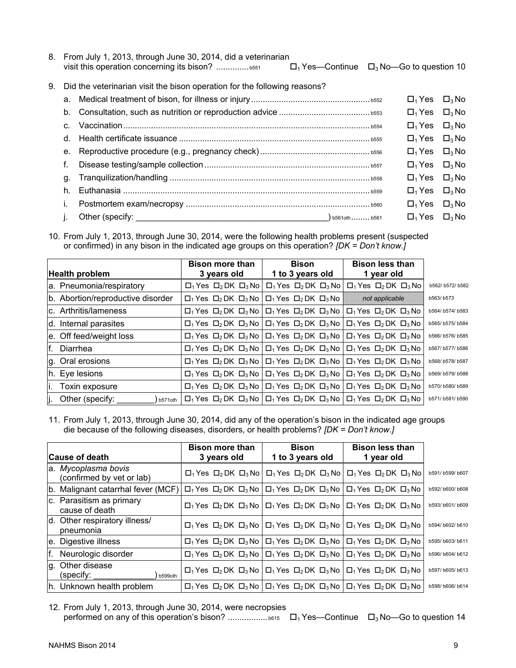- 8. From July 1, 2013, through June 30, 2014, did a veterinarian visit this operation concerning its bison? ................ b551
- 9. Did the veterinarian visit the bison operation for the following reasons?

|                | $\Box_1$ Yes $\Box_3$ No |  |
|----------------|--------------------------|--|
| b.             | $\Box_1$ Yes $\Box_3$ No |  |
| $C_{\rm{eff}}$ | $\Box_1$ Yes $\Box_3$ No |  |
|                | $\Box_1$ Yes $\Box_3$ No |  |
|                | $\Box_1$ Yes $\Box_3$ No |  |
| f.             | $\Box_1$ Yes $\Box_3$ No |  |
| q.             | $\Box_1$ Yes $\Box_3$ No |  |
| h.             | $\Box_1$ Yes $\Box_3$ No |  |
|                | $\Box_1$ Yes $\Box_3$ No |  |
|                | $\Box_1$ Yes $\Box_3$ No |  |

10. From July 1, 2013, through June 30, 2014, were the following health problems present (suspected or confirmed) in any bison in the indicated age groups on this operation? *[DK = Don't know.]*

|                                   | <b>Bison more than</b>                 | <b>Bison</b>                                                                                                                                | <b>Bison less than</b>                                                    |                  |
|-----------------------------------|----------------------------------------|---------------------------------------------------------------------------------------------------------------------------------------------|---------------------------------------------------------------------------|------------------|
| <b>Health problem</b>             | 3 years old                            | 1 to 3 years old                                                                                                                            | 1 year old                                                                |                  |
| a. Pneumonia/respiratory          | $\Box_1$ Yes $\Box_2$ DK $\Box_3$ No   |                                                                                                                                             | $\Box_1$ Yes $\Box_2$ DK $\Box_3$ No $\Box_1$ Yes $\Box_2$ DK $\Box_3$ No | b562/ b572/ b582 |
| b. Abortion/reproductive disorder | $\Box_1$ Yes $\Box_2$ DK $\Box_3$ No   | $\Box$ <sub>1</sub> Yes $\Box$ <sub>2</sub> DK $\Box$ <sub>3</sub> No                                                                       | not applicable                                                            | b563/b573        |
| c. Arthritis/lameness             | $\Box_1$ Yes $\Box_2$ DK $\Box_3$ No   | $\Box_1$ Yes $\Box_2$ DK $\Box_3$ No $ \Box_1$ Yes $\Box_2$ DK $\Box_3$ No                                                                  |                                                                           | b564/ b574/ b583 |
| d. Internal parasites             | $\Box_1$ Yes $\Box_2$ DK $\Box_3$ No   | $\Box$ <sub>1</sub> Yes $\Box$ <sub>2</sub> DK $\Box$ <sub>3</sub> No $\Box$ <sub>1</sub> Yes $\Box$ <sub>2</sub> DK $\Box$ <sub>3</sub> No |                                                                           | b565/ b575/ b584 |
| e. Off feed/weight loss           | $\Box_1$ Yes $\Box_2$ DK $\Box_3$ No I | $\square_1$ Yes $\square_2$ DK $\square_3$ No $\square_1$ Yes $\square_2$ DK $\square_3$ No                                                 |                                                                           | b566/ b576/ b585 |
| f.<br>Diarrhea                    | $\Box$ Yes $\Box$ DK $\Box$ No I       | $\Box$ 1 Yes $\Box$ 2 DK $\Box$ 3 No   $\Box$ 1 Yes $\Box$ 2 DK $\Box$ 3 No                                                                 |                                                                           | b567/ b577/ b586 |
| g. Oral erosions                  | $\Box_1$ Yes $\Box_2$ DK $\Box_3$ No   | $\Box_1$ Yes $\Box_2$ DK $\Box_3$ No $\Box_1$ Yes $\Box_2$ DK $\Box_3$ No                                                                   |                                                                           | b568/ b578/ b587 |
| h. Eye lesions                    | $\Box_1$ Yes $\Box_2$ DK $\Box_3$ No I | $\Box_1$ Yes $\Box_2$ DK $\Box_3$ No $\Box_1$ Yes $\Box_2$ DK $\Box_3$ No                                                                   |                                                                           | b569/ b579/ b588 |
| Toxin exposure<br>li.             | $\Box_1$ Yes $\Box_2$ DK $\Box_3$ No I | $\square_1$ Yes $\square_2$ DK $\square_3$ No $\square_1$ Yes $\square_2$ DK $\square_3$ No                                                 |                                                                           | b570/ b580/ b589 |
| Other (specify:<br>İ.<br>b571oth  |                                        | $\Box$ 1 Yes $\Box$ 2 DK $\Box$ 3 No $\Box$ 1 Yes $\Box$ 2 DK $\Box$ 3 No $\Box$ 1 Yes $\Box$ 2 DK $\Box$ 3 No                              |                                                                           | b571/ b581/ b590 |

11. From July 1, 2013, through June 30, 2014, did any of the operation's bison in the indicated age groups die because of the following diseases, disorders, or health problems? *[DK = Don't know.]*

| <b>Cause of death</b>                            | <b>Bison more than</b><br>3 years old  | <b>Bison</b><br>1 to 3 years old                                                                               | <b>Bison less than</b><br>1 year old                                                                                                                                                                                  |                  |
|--------------------------------------------------|----------------------------------------|----------------------------------------------------------------------------------------------------------------|-----------------------------------------------------------------------------------------------------------------------------------------------------------------------------------------------------------------------|------------------|
| a. Mycoplasma bovis<br>(confirmed by vet or lab) |                                        |                                                                                                                | $\Box_1$ Yes $\Box_2$ DK $\Box_3$ No $\Box_1$ Yes $\Box_2$ DK $\Box_3$ No $\Box_1$ Yes $\Box_2$ DK $\Box_3$ No                                                                                                        | b591/ b599/ b607 |
| b. Malignant catarrhal fever (MCF)               |                                        |                                                                                                                | $\Box$ <sub>1</sub> Yes $\Box$ <sub>2</sub> DK $\Box$ <sub>3</sub> No   $\Box$ <sub>1</sub> Yes $\Box$ <sub>2</sub> DK $\Box$ <sub>2</sub> No   $\Box$ <sub>1</sub> Yes $\Box$ <sub>2</sub> DK $\Box$ <sub>3</sub> No | b592/ b600/ b608 |
| c. Parasitism as primary<br>cause of death       |                                        |                                                                                                                | $\Box_1$ Yes $\Box_2$ DK $\Box_3$ No   $\Box_1$ Yes $\Box_2$ DK $\Box_3$ No   $\Box_1$ Yes $\Box_2$ DK $\Box_3$ No                                                                                                    | b593/ b601/ b609 |
| d. Other respiratory illness/<br>pneumonia       |                                        | $\Box_1$ Yes $\Box_2$ DK $\Box_3$ No $\Box_1$ Yes $\Box_2$ DK $\Box_3$ No $\Box_1$ Yes $\Box_2$ DK $\Box_3$ No |                                                                                                                                                                                                                       | b594/ b602/ b610 |
| e. Digestive illness                             | $\Box_1$ Yes $\Box_2$ DK $\Box_3$ No   |                                                                                                                | $\Box_1$ Yes $\Box_2$ DK $\Box_3$ No $\Box_1$ Yes $\Box_2$ DK $\Box_3$ No                                                                                                                                             | b595/ b603/ b611 |
| lf.<br>Neurologic disorder                       | $\Box_1$ Yes $\Box_2$ DK $\Box_3$ No   |                                                                                                                | $\Box_1$ Yes $\Box_2$ DK $\Box_3$ No $\Box_1$ Yes $\Box_2$ DK $\Box_3$ No                                                                                                                                             | b596/ b604/ b612 |
| g. Other disease<br>(specify:<br>b599oth         | $\Box_1$ Yes $\Box_2$ DK $\Box_3$ No I |                                                                                                                | $\Box_1$ Yes $\Box_2$ DK $\Box_3$ No $\Box_1$ Yes $\Box_2$ DK $\Box_3$ No                                                                                                                                             | b597/ b605/ b613 |
| h. Unknown health problem                        |                                        |                                                                                                                | $\square_1$ Yes $\square_2$ DK $\square_3$ No $\square_1$ Yes $\square_2$ DK $\square_3$ No $\square_1$ Yes $\square_2$ DK $\square_3$ No                                                                             | b598/ b606/ b614 |

12. From July 1, 2013, through June 30, 2014, were necropsies performed on any of this operation's bison? .......................... b615  $\Box_1$  Yes—Continue  $\Box_3$  No—Go to question 14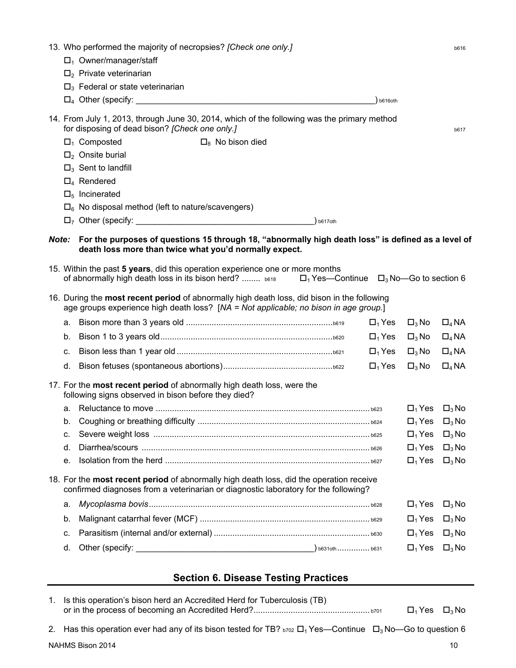|    | 13. Who performed the majority of necropsies? [Check one only.]<br>$\Box_1$ Owner/manager/staff<br>$\Box_2$ Private veterinarian<br>$\square$ <sub>3</sub> Federal or state veterinarian                                                                                                                                                                                                                  | b616oth      |                          | <b>b616</b>    |
|----|-----------------------------------------------------------------------------------------------------------------------------------------------------------------------------------------------------------------------------------------------------------------------------------------------------------------------------------------------------------------------------------------------------------|--------------|--------------------------|----------------|
|    | 14. From July 1, 2013, through June 30, 2014, which of the following was the primary method<br>for disposing of dead bison? [Check one only.]<br>$\Box_1$ Composted<br>$\square$ <sub>8</sub> No bison died<br>$\Box_2$ Onsite burial<br>$\square$ <sub>3</sub> Sent to landfill<br>$\Box_4$ Rendered<br>$\square_5$ Incinerated<br>$\square_6$ No disposal method (left to nature/scavengers)<br>b617oth |              |                          | b617           |
|    | Note: For the purposes of questions 15 through 18, "abnormally high death loss" is defined as a level of<br>death loss more than twice what you'd normally expect.                                                                                                                                                                                                                                        |              |                          |                |
|    | 15. Within the past 5 years, did this operation experience one or more months<br>of abnormally high death loss in its bison herd?  b618 $\square_1$ Yes—Continue $\square_3$ No—Go to section 6                                                                                                                                                                                                           |              |                          |                |
|    | 16. During the most recent period of abnormally high death loss, did bison in the following<br>age groups experience high death loss? [NA = Not applicable; no bison in age group.]                                                                                                                                                                                                                       |              |                          |                |
|    |                                                                                                                                                                                                                                                                                                                                                                                                           | $\Box_1$ Yes | $\square_3$ No           | $\square_4$ NA |
| b. |                                                                                                                                                                                                                                                                                                                                                                                                           | $\Box_1$ Yes | $\square_3$ No           | $\square_4$ NA |
| c. |                                                                                                                                                                                                                                                                                                                                                                                                           | $\Box_1$ Yes | $\square_3$ No           | $\square_4$ NA |
| d. |                                                                                                                                                                                                                                                                                                                                                                                                           | $\Box_1$ Yes | $\square_3$ No           | $\square_4$ NA |
|    | 17. For the most recent period of abnormally high death loss, were the<br>following signs observed in bison before they died?                                                                                                                                                                                                                                                                             |              |                          |                |
|    |                                                                                                                                                                                                                                                                                                                                                                                                           |              | $\Box_1$ Yes $\Box_3$ No |                |
| b. |                                                                                                                                                                                                                                                                                                                                                                                                           |              | $\Box_1$ Yes             | $\square_3$ No |
| c. |                                                                                                                                                                                                                                                                                                                                                                                                           |              | $\Box_1$ Yes             | $\square_3$ No |
| d. |                                                                                                                                                                                                                                                                                                                                                                                                           |              | $\Box_1$ Yes             | $\square_3$ No |
| е. |                                                                                                                                                                                                                                                                                                                                                                                                           |              | $\Box_1$ Yes             | $\square_3$ No |
|    | 18. For the most recent period of abnormally high death loss, did the operation receive<br>confirmed diagnoses from a veterinarian or diagnostic laboratory for the following?                                                                                                                                                                                                                            |              |                          |                |
| а. |                                                                                                                                                                                                                                                                                                                                                                                                           |              | $\Box_1$ Yes             | $\square_3$ No |
| b. |                                                                                                                                                                                                                                                                                                                                                                                                           |              | $\Box_1$ Yes             | $\square_3$ No |
| c. |                                                                                                                                                                                                                                                                                                                                                                                                           |              | $\Box_1$ Yes             | $\square_3$ No |
| d. |                                                                                                                                                                                                                                                                                                                                                                                                           |              | $\Box_1$ Yes             | $\square_3$ No |
|    |                                                                                                                                                                                                                                                                                                                                                                                                           |              |                          |                |

# **Section 6. Disease Testing Practices**

| 1. Is this operation's bison herd an Accredited Herd for Tuberculosis (TB) |                                |  |
|----------------------------------------------------------------------------|--------------------------------|--|
|                                                                            | $\square_1$ Yes $\square_3$ No |  |

2. Has this operation ever had any of its bison tested for TB?  $_{b702}$   $\Box_1$  Yes—Continue  $\Box_3$  No—Go to question 6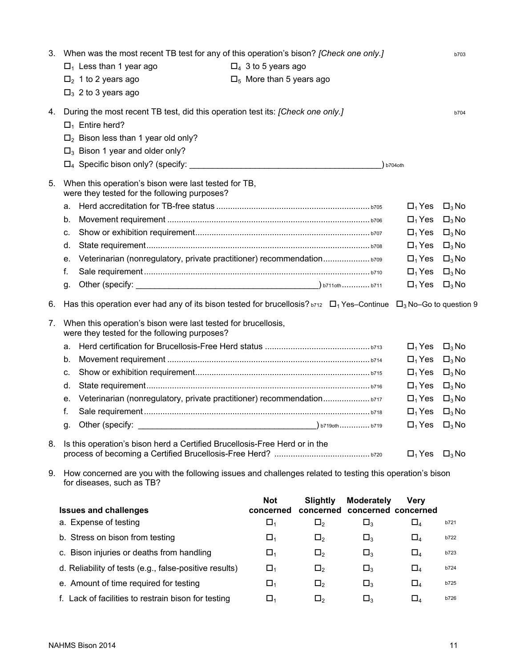|    |    | 3. When was the most recent TB test for any of this operation's bison? [Check one only.]                                                             |                                |                 |                                                    |                                | b703           |  |
|----|----|------------------------------------------------------------------------------------------------------------------------------------------------------|--------------------------------|-----------------|----------------------------------------------------|--------------------------------|----------------|--|
|    |    | $\Box$ <sub>1</sub> Less than 1 year ago                                                                                                             | $\Box_4$ 3 to 5 years ago      |                 |                                                    |                                |                |  |
|    |    | $\Box$ <sub>2</sub> 1 to 2 years ago                                                                                                                 | $\Box_5$ More than 5 years ago |                 |                                                    |                                |                |  |
|    |    | $\Box$ <sub>3</sub> 2 to 3 years ago                                                                                                                 |                                |                 |                                                    |                                |                |  |
| 4. |    | During the most recent TB test, did this operation test its: [Check one only.]                                                                       |                                |                 |                                                    |                                | b704           |  |
|    |    | $\Box_1$ Entire herd?                                                                                                                                |                                |                 |                                                    |                                |                |  |
|    |    | $\square$ <sub>2</sub> Bison less than 1 year old only?                                                                                              |                                |                 |                                                    |                                |                |  |
|    |    | $\square$ <sub>3</sub> Bison 1 year and older only?                                                                                                  |                                |                 |                                                    |                                |                |  |
|    |    | $\square_4$ Specific bison only? (specify: $\_\_\_\_\_\_\_\_\_\_\_\_\_\_\_\_\_\_\_\_\_\_\_\_\_\_\_\_\_\_\_$                                          |                                |                 | ) b704oth                                          |                                |                |  |
| 5. |    | When this operation's bison were last tested for TB,<br>were they tested for the following purposes?                                                 |                                |                 |                                                    |                                |                |  |
|    | a. |                                                                                                                                                      |                                |                 |                                                    | $\Box_1$ Yes                   | $\square_3$ No |  |
|    | b. |                                                                                                                                                      |                                |                 |                                                    | $\Box_1$ Yes                   | $\square_3$ No |  |
|    | c. |                                                                                                                                                      |                                |                 |                                                    | $\Box_1$ Yes                   | $\square_3$ No |  |
|    | d. |                                                                                                                                                      |                                |                 |                                                    | $\Box_1$ Yes                   | $\square_3$ No |  |
|    | е. | Veterinarian (nonregulatory, private practitioner) recommendation b709                                                                               |                                |                 |                                                    | $\Box_1$ Yes                   | $\square_3$ No |  |
|    | f. |                                                                                                                                                      |                                |                 |                                                    | $\Box_1$ Yes                   | $\square_3$ No |  |
|    | g. |                                                                                                                                                      |                                |                 |                                                    | $\Box_1$ Yes                   | $\square_3$ No |  |
| 6. |    | Has this operation ever had any of its bison tested for brucellosis? $b712$ $\Box$ <sub>1</sub> Yes-Continue $\Box$ <sub>3</sub> No-Go to question 9 |                                |                 |                                                    |                                |                |  |
| 7. |    | When this operation's bison were last tested for brucellosis,<br>were they tested for the following purposes?                                        |                                |                 |                                                    |                                |                |  |
|    | а. |                                                                                                                                                      |                                |                 |                                                    | $\Box_1$ Yes                   | $\square_3$ No |  |
|    | b. |                                                                                                                                                      |                                |                 |                                                    | $\Box_1$ Yes                   | $\square_3$ No |  |
|    | c. |                                                                                                                                                      |                                |                 |                                                    | $\Box_1$ Yes                   | $\square_3$ No |  |
|    | d. |                                                                                                                                                      |                                |                 |                                                    | $\Box_1$ Yes                   | $\square_3$ No |  |
|    | е. | Veterinarian (nonregulatory, private practitioner) recommendation b717                                                                               |                                |                 |                                                    | $\Box_1$ Yes                   | $\square_3$ No |  |
|    | f. |                                                                                                                                                      |                                |                 |                                                    | $\Box_1$ Yes                   | $\square_3$ No |  |
|    | g. | Other (specify:                                                                                                                                      |                                |                 |                                                    | $\square_1$ Yes $\square_3$ No |                |  |
| 8. |    | Is this operation's bison herd a Certified Brucellosis-Free Herd or in the                                                                           |                                |                 |                                                    | $\Box_1$ Yes                   | $\square_3$ No |  |
| 9. |    | How concerned are you with the following issues and challenges related to testing this operation's bison<br>for diseases, such as TB?                |                                |                 |                                                    |                                |                |  |
|    |    | <b>Issues and challenges</b>                                                                                                                         | <b>Not</b><br>concerned        | <b>Slightly</b> | <b>Moderately</b><br>concerned concerned concerned | <b>Very</b>                    |                |  |
|    |    | a. Expense of testing                                                                                                                                | $\square_1$                    | $\square_2$     | $\square_3$                                        | $\square_4$                    | b721           |  |
|    |    | b. Stress on bison from testing                                                                                                                      | $\Box_1$                       | $\Box_2$        | $\square_3$                                        | $\square_4$                    | b722           |  |
|    |    | c. Bison injuries or deaths from handling                                                                                                            | $\Box_1$                       | $\square_2$     | $\square_3$                                        | $\square_4$                    | b723           |  |
|    |    | d. Reliability of tests (e.g., false-positive results)                                                                                               | $\Box_1$                       | $\square_2$     | $\square_3$                                        | $\square_4$                    | b724           |  |
|    |    | e. Amount of time required for testing                                                                                                               | $\square_1$                    | $\square_2$     | $\square_3$                                        | $\square_4$                    | b725           |  |
|    |    | f. Lack of facilities to restrain bison for testing                                                                                                  | $\Box_1$                       | $\square_2$     | $\square_3$                                        | $\square_4$                    | b726           |  |